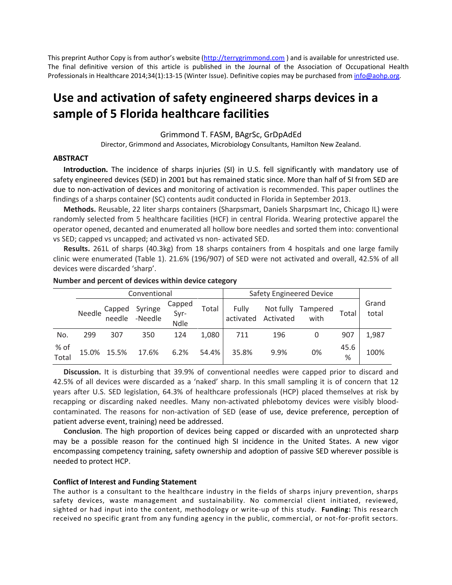This preprint Author Copy is from author's website [\(http://terrygrimmond.com](http://terrygrimmond.com/) ) and is available for unrestricted use. The final definitive version of this article is published in the Journal of the Association of Occupational Health Professionals in Healthcare 2014;34(1):13-15 (Winter Issue). Definitive copies may be purchased from info@aohp.org.

# **Use and activation of safety engineered sharps devices in a sample of 5 Florida healthcare facilities**

#### Grimmond T. FASM, BAgrSc, GrDpAdEd

Director, Grimmond and Associates, Microbiology Consultants, Hamilton New Zealand.

#### **ABSTRACT**

**Introduction.** The incidence of sharps injuries (SI) in U.S. fell significantly with mandatory use of safety engineered devices (SED) in 2001 but has remained static since. More than half of SI from SED are due to non-activation of devices and monitoring of activation is recommended. This paper outlines the findings of a sharps container (SC) contents audit conducted in Florida in September 2013.

**Methods.** Reusable, 22 liter sharps containers (Sharpsmart, Daniels Sharpsmart Inc, Chicago IL) were randomly selected from 5 healthcare facilities (HCF) in central Florida. Wearing protective apparel the operator opened, decanted and enumerated all hollow bore needles and sorted them into: conventional vs SED; capped vs uncapped; and activated vs non- activated SED.

**Results.** 261L of sharps (40.3kg) from 18 sharps containers from 4 hospitals and one large family clinic were enumerated (Table 1). 21.6% (196/907) of SED were not activated and overall, 42.5% of all devices were discarded 'sharp'.

|               |        |                  | Conventional       |                               |       | <b>Safety Engineered Device</b> |                        |                  |           |                |
|---------------|--------|------------------|--------------------|-------------------------------|-------|---------------------------------|------------------------|------------------|-----------|----------------|
|               | Needle | Capped<br>needle | Syringe<br>-Needle | Capped<br>Syr-<br><b>Ndle</b> | Total | Fully<br>activated              | Not fully<br>Activated | Tampered<br>with | Total     | Grand<br>total |
| No.           | 299    | 307              | 350                | 124                           | 1,080 | 711                             | 196                    |                  | 907       | 1,987          |
| % of<br>Total |        | 15.0% 15.5%      | 17.6%              | 6.2%                          | 54.4% | 35.8%                           | 9.9%                   | 0%               | 45.6<br>% | 100%           |

#### **Number and percent of devices within device category**

**Discussion.** It is disturbing that 39.9% of conventional needles were capped prior to discard and 42.5% of all devices were discarded as a 'naked' sharp. In this small sampling it is of concern that 12 years after U.S. SED legislation, 64.3% of healthcare professionals (HCP) placed themselves at risk by recapping or discarding naked needles. Many non-activated phlebotomy devices were visibly bloodcontaminated. The reasons for non-activation of SED (ease of use, device preference, perception of patient adverse event, training) need be addressed.

**Conclusion**. The high proportion of devices being capped or discarded with an unprotected sharp may be a possible reason for the continued high SI incidence in the United States. A new vigor encompassing competency training, safety ownership and adoption of passive SED wherever possible is needed to protect HCP.

#### **Conflict of Interest and Funding Statement**

The author is a consultant to the healthcare industry in the fields of sharps injury prevention, sharps safety devices, waste management and sustainability. No commercial client initiated, reviewed, sighted or had input into the content, methodology or write-up of this study. **Funding:** This research received no specific grant from any funding agency in the public, commercial, or not-for-profit sectors.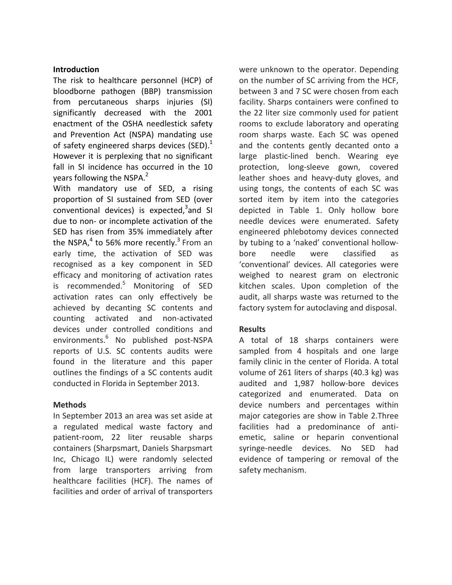#### **Introduction**

The risk to healthcare personnel (HCP) of bloodborne pathogen (BBP) transmission from percutaneous sharps injuries (SI) significantly decreased with the 2001 enactment of the OSHA needlestick safety and Prevention Act (NSPA) mandating use of safety engineered sharps devices (SED). $<sup>1</sup>$ </sup> However it is perplexing that no significant fall in SI incidence has occurred in the 10 years following the NSPA.<sup>2</sup>

With mandatory use of SED, a rising proportion of SI sustained from SED (over conventional devices) is expected,<sup>3</sup>and SI due to non- or incomplete activation of the SED has risen from 35% immediately after the NSPA, $4$  to 56% more recently.<sup>3</sup> From an early time, the activation of SED was recognised as a key component in SED efficacy and monitoring of activation rates is recommended. $5$  Monitoring of SED activation rates can only effectively be achieved by decanting SC contents and counting activated and non-activated devices under controlled conditions and environments.6 No published post-NSPA reports of U.S. SC contents audits were found in the literature and this paper outlines the findings of a SC contents audit conducted in Florida in September 2013.

## **Methods**

In September 2013 an area was set aside at a regulated medical waste factory and patient-room, 22 liter reusable sharps containers (Sharpsmart, Daniels Sharpsmart Inc, Chicago IL) were randomly selected from large transporters arriving from healthcare facilities (HCF). The names of facilities and order of arrival of transporters were unknown to the operator. Depending on the number of SC arriving from the HCF, between 3 and 7 SC were chosen from each facility. Sharps containers were confined to the 22 liter size commonly used for patient rooms to exclude laboratory and operating room sharps waste. Each SC was opened and the contents gently decanted onto a large plastic-lined bench. Wearing eye protection, long-sleeve gown, covered leather shoes and heavy-duty gloves, and using tongs, the contents of each SC was sorted item by item into the categories depicted in Table 1. Only hollow bore needle devices were enumerated. Safety engineered phlebotomy devices connected by tubing to a 'naked' conventional hollowbore needle were classified as 'conventional' devices. All categories were weighed to nearest gram on electronic kitchen scales. Upon completion of the audit, all sharps waste was returned to the factory system for autoclaving and disposal.

## **Results**

A total of 18 sharps containers were sampled from 4 hospitals and one large family clinic in the center of Florida. A total volume of 261 liters of sharps (40.3 kg) was audited and 1,987 hollow-bore devices categorized and enumerated. Data on device numbers and percentages within major categories are show in Table 2.Three facilities had a predominance of antiemetic, saline or heparin conventional syringe-needle devices. No SED had evidence of tampering or removal of the safety mechanism.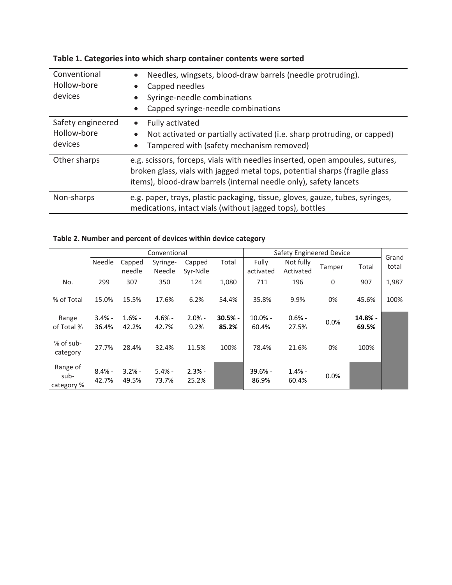| Conventional<br>Hollow-bore<br>devices      | Needles, wingsets, blood-draw barrels (needle protruding).<br>Capped needles<br>Syringe-needle combinations<br>Capped syringe-needle combinations                                                                                |
|---------------------------------------------|----------------------------------------------------------------------------------------------------------------------------------------------------------------------------------------------------------------------------------|
| Safety engineered<br>Hollow-bore<br>devices | Fully activated<br>Not activated or partially activated (i.e. sharp protruding, or capped)<br>Tampered with (safety mechanism removed)                                                                                           |
| Other sharps                                | e.g. scissors, forceps, vials with needles inserted, open ampoules, sutures,<br>broken glass, vials with jagged metal tops, potential sharps (fragile glass<br>items), blood-draw barrels (internal needle only), safety lancets |
| Non-sharps                                  | e.g. paper, trays, plastic packaging, tissue, gloves, gauze, tubes, syringes,<br>medications, intact vials (without jagged tops), bottles                                                                                        |

|  | Table 1. Categories into which sharp container contents were sorted |  |
|--|---------------------------------------------------------------------|--|
|--|---------------------------------------------------------------------|--|

## **Table 2. Number and percent of devices within device category**

|                                |                   |                   | Conventional       |                    |                    | Safety Engineered Device |                        |             |                  | Grand |
|--------------------------------|-------------------|-------------------|--------------------|--------------------|--------------------|--------------------------|------------------------|-------------|------------------|-------|
|                                | Needle            | Capped<br>needle  | Syringe-<br>Needle | Capped<br>Syr-Ndle | Total              | Fully<br>activated       | Not fully<br>Activated | Tamper      | Total            | total |
| No.                            | 299               | 307               | 350                | 124                | 1,080              | 711                      | 196                    | $\mathbf 0$ | 907              | 1,987 |
| % of Total                     | 15.0%             | 15.5%             | 17.6%              | 6.2%               | 54.4%              | 35.8%                    | 9.9%                   | 0%          | 45.6%            | 100%  |
| Range<br>of Total %            | $3.4% -$<br>36.4% | $1.6% -$<br>42.2% | $4.6% -$<br>42.7%  | $2.0% -$<br>9.2%   | $30.5% -$<br>85.2% | $10.0\%$ -<br>60.4%      | $0.6% -$<br>27.5%      | 0.0%        | 14.8% -<br>69.5% |       |
| % of sub-<br>category          | 27.7%             | 28.4%             | 32.4%              | 11.5%              | 100%               | 78.4%                    | 21.6%                  | 0%          | 100%             |       |
| Range of<br>sub-<br>category % | $8.4% -$<br>42.7% | $3.2% -$<br>49.5% | $5.4% -$<br>73.7%  | $2.3% -$<br>25.2%  |                    | $39.6% -$<br>86.9%       | $1.4% -$<br>60.4%      | 0.0%        |                  |       |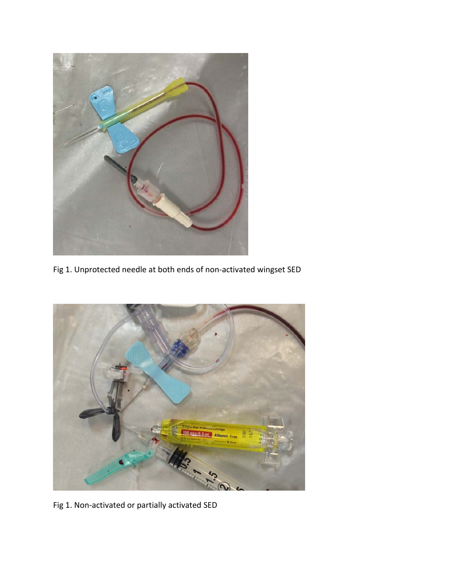

Fig 1. Unprotected needle at both ends of non-activated wingset SED



Fig 1. Non-activated or partially activated SED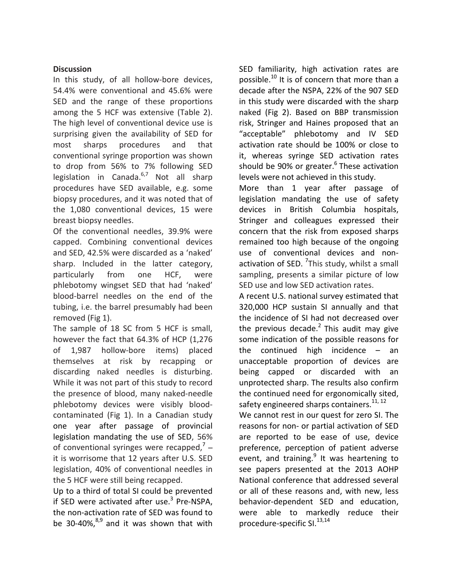## **Discussion**

In this study, of all hollow-bore devices, 54.4% were conventional and 45.6% were SED and the range of these proportions among the 5 HCF was extensive (Table 2). The high level of conventional device use is surprising given the availability of SED for most sharps procedures and that conventional syringe proportion was shown to drop from 56% to 7% following SED legislation in Canada.<sup>6,7</sup> Not all sharp procedures have SED available, e.g. some biopsy procedures, and it was noted that of the 1,080 conventional devices, 15 were breast biopsy needles.

Of the conventional needles, 39.9% were capped. Combining conventional devices and SED, 42.5% were discarded as a 'naked' sharp. Included in the latter category, particularly from one HCF, were phlebotomy wingset SED that had 'naked' blood-barrel needles on the end of the tubing, i.e. the barrel presumably had been removed (Fig 1).

The sample of 18 SC from 5 HCF is small, however the fact that 64.3% of HCP (1,276 of 1,987 hollow-bore items) placed themselves at risk by recapping or discarding naked needles is disturbing. While it was not part of this study to record the presence of blood, many naked-needle phlebotomy devices were visibly bloodcontaminated (Fig 1). In a Canadian study one year after passage of provincial legislation mandating the use of SED, 56% of conventional syringes were recapped, $7$ it is worrisome that 12 years after U.S. SED legislation, 40% of conventional needles in the 5 HCF were still being recapped.

Up to a third of total SI could be prevented if SED were activated after use. $3$  Pre-NSPA, the non-activation rate of SED was found to be 30-40%, $^{8,9}$  and it was shown that with

SED familiarity, high activation rates are possible. $^{10}$  It is of concern that more than a decade after the NSPA, 22% of the 907 SED in this study were discarded with the sharp naked (Fig 2). Based on BBP transmission risk, Stringer and Haines proposed that an "acceptable" phlebotomy and IV SED activation rate should be 100% or close to it, whereas syringe SED activation rates should be 90% or greater.<sup>6</sup> These activation levels were not achieved in this study.

More than 1 year after passage of legislation mandating the use of safety devices in British Columbia hospitals, Stringer and colleagues expressed their concern that the risk from exposed sharps remained too high because of the ongoing use of conventional devices and nonactivation of SED. <sup>7</sup>This study, whilst a small sampling, presents a similar picture of low SED use and low SED activation rates.

A recent U.S. national survey estimated that 320,000 HCP sustain SI annually and that the incidence of SI had not decreased over the previous decade. $<sup>2</sup>$  This audit may give</sup> some indication of the possible reasons for the continued high incidence – an unacceptable proportion of devices are being capped or discarded with an unprotected sharp. The results also confirm the continued need for ergonomically sited, safety engineered sharps containers.<sup>11, 12</sup>

We cannot rest in our quest for zero SI. The reasons for non- or partial activation of SED are reported to be ease of use, device preference, perception of patient adverse event, and training.<sup>9</sup> It was heartening to see papers presented at the 2013 AOHP National conference that addressed several or all of these reasons and, with new, less behavior-dependent SED and education, were able to markedly reduce their procedure-specific SI.<sup>13,14</sup>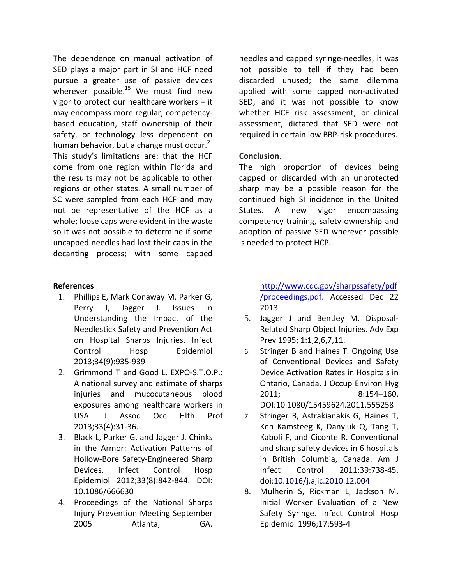The dependence on manual activation of SED plays a major part in SI and HCF need pursue a greater use of passive devices wherever possible.<sup>15</sup> We must find new vigor to protect our healthcare workers – it may encompass more regular, competencybased education, staff ownership of their safety, or technology less dependent on human behavior, but a change must occur. $<sup>2</sup>$ </sup> This study's limitations are: that the HCF come from one region within Florida and the results may not be applicable to other regions or other states. A small number of SC were sampled from each HCF and may not be representative of the HCF as a whole; loose caps were evident in the waste so it was not possible to determine if some uncapped needles had lost their caps in the decanting process; with some capped

## **References**

- 1. Phillips E, Mark Conaway M, Parker G, Perry J, Jagger J. Issues in Understanding the Impact of the Needlestick Safety and Prevention Act on Hospital Sharps Injuries. Infect Control Hosp Epidemiol 2013;34(9):935-939
- 2. Grimmond T and Good L. EXPO-S.T.O.P.: A national survey and estimate of sharps injuries and mucocutaneous blood exposures among healthcare workers in USA. J Assoc Occ Hlth Prof 2013;33(4):31-36.
- 3. Black L, Parker G, and Jagger J. Chinks in the Armor: Activation Patterns of Hollow-Bore Safety-Engineered Sharp Devices. Infect Control Hosp Epidemiol 2012;33(8):842-844. DOI: 10.1086/666630
- 4. Proceedings of the National Sharps Injury Prevention Meeting September 2005 Atlanta, GA.

needles and capped syringe-needles, it was not possible to tell if they had been discarded unused; the same dilemma applied with some capped non-activated SED; and it was not possible to know whether HCF risk assessment, or clinical assessment, dictated that SED were not required in certain low BBP-risk procedures.

## **Conclusion**.

The high proportion of devices being capped or discarded with an unprotected sharp may be a possible reason for the continued high SI incidence in the United States. A new vigor encompassing competency training, safety ownership and adoption of passive SED wherever possible is needed to protect HCP.

> [http://www.cdc.gov/sharpssafety/pdf](http://www.cdc.gov/sharpssafety/pdf/proceedings.pdf) [/proceedings.pdf.](http://www.cdc.gov/sharpssafety/pdf/proceedings.pdf) Accessed Dec 22 2013

- 5. Jagger J and Bentley M. Disposal-Related Sharp Object Injuries. Adv Exp Prev 1995; 1:1,2,6,7,11.
- 6. Stringer B and Haines T. Ongoing Use of Conventional Devices and Safety Device Activation Rates in Hospitals in Ontario, Canada. J Occup Environ Hyg 2011; 8:154–160. DOI:10.1080/15459624.2011.555258
- 7. Stringer B, Astrakianakis G, Haines T, Ken Kamsteeg K, Danyluk Q, Tang T, Kaboli F, and Ciconte R. Conventional and sharp safety devices in 6 hospitals in British Columbia, Canada. Am J Infect Control 2011;39:738-45. doi:10.1016/j.ajic.2010.12.004
- 8. Mulherin S, Rickman L, Jackson M. Initial Worker Evaluation of a New Safety Syringe. Infect Control Hosp Epidemiol 1996;17:593-4